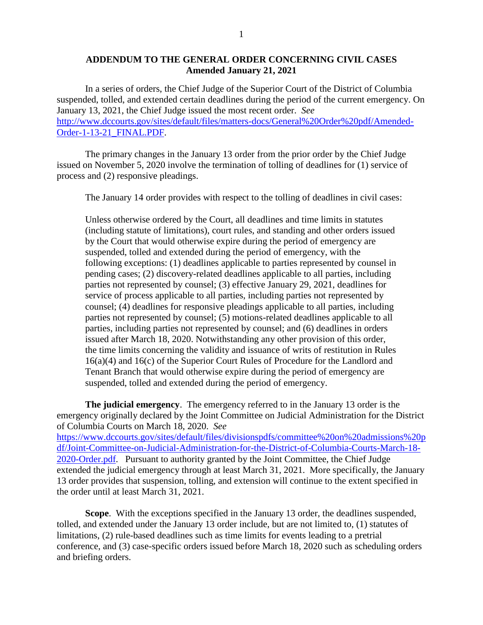## **ADDENDUM TO THE GENERAL ORDER CONCERNING CIVIL CASES Amended January 21, 2021**

In a series of orders, the Chief Judge of the Superior Court of the District of Columbia suspended, tolled, and extended certain deadlines during the period of the current emergency. On January 13, 2021, the Chief Judge issued the most recent order. *See* [http://www.dccourts.gov/sites/default/files/matters-docs/General%20Order%20pdf/Amended-](http://www.dccourts.gov/sites/default/files/matters-docs/General%20Order%20pdf/Amended-Order-1-13-21_FINAL.PDF)[Order-1-13-21\\_FINAL.PDF.](http://www.dccourts.gov/sites/default/files/matters-docs/General%20Order%20pdf/Amended-Order-1-13-21_FINAL.PDF)

The primary changes in the January 13 order from the prior order by the Chief Judge issued on November 5, 2020 involve the termination of tolling of deadlines for (1) service of process and (2) responsive pleadings.

The January 14 order provides with respect to the tolling of deadlines in civil cases:

Unless otherwise ordered by the Court, all deadlines and time limits in statutes (including statute of limitations), court rules, and standing and other orders issued by the Court that would otherwise expire during the period of emergency are suspended, tolled and extended during the period of emergency, with the following exceptions: (1) deadlines applicable to parties represented by counsel in pending cases; (2) discovery-related deadlines applicable to all parties, including parties not represented by counsel; (3) effective January 29, 2021, deadlines for service of process applicable to all parties, including parties not represented by counsel; (4) deadlines for responsive pleadings applicable to all parties, including parties not represented by counsel; (5) motions-related deadlines applicable to all parties, including parties not represented by counsel; and (6) deadlines in orders issued after March 18, 2020. Notwithstanding any other provision of this order, the time limits concerning the validity and issuance of writs of restitution in Rules 16(a)(4) and 16(c) of the Superior Court Rules of Procedure for the Landlord and Tenant Branch that would otherwise expire during the period of emergency are suspended, tolled and extended during the period of emergency.

**The judicial emergency**. The emergency referred to in the January 13 order is the emergency originally declared by the Joint Committee on Judicial Administration for the District of Columbia Courts on March 18, 2020. *See* [https://www.dccourts.gov/sites/default/files/divisionspdfs/committee%20on%20admissions%20p](https://www.dccourts.gov/sites/default/files/divisionspdfs/committee%20on%20admissions%20pdf/Joint-Committee-on-Judicial-Administration-for-the-District-of-Columbia-Courts-March-18-2020-Order.pdf) [df/Joint-Committee-on-Judicial-Administration-for-the-District-of-Columbia-Courts-March-18-](https://www.dccourts.gov/sites/default/files/divisionspdfs/committee%20on%20admissions%20pdf/Joint-Committee-on-Judicial-Administration-for-the-District-of-Columbia-Courts-March-18-2020-Order.pdf) [2020-Order.pdf.](https://www.dccourts.gov/sites/default/files/divisionspdfs/committee%20on%20admissions%20pdf/Joint-Committee-on-Judicial-Administration-for-the-District-of-Columbia-Courts-March-18-2020-Order.pdf) Pursuant to authority granted by the Joint Committee, the Chief Judge

extended the judicial emergency through at least March 31, 2021. More specifically, the January 13 order provides that suspension, tolling, and extension will continue to the extent specified in the order until at least March 31, 2021.

**Scope**. With the exceptions specified in the January 13 order, the deadlines suspended, tolled, and extended under the January 13 order include, but are not limited to, (1) statutes of limitations, (2) rule-based deadlines such as time limits for events leading to a pretrial conference, and (3) case-specific orders issued before March 18, 2020 such as scheduling orders and briefing orders.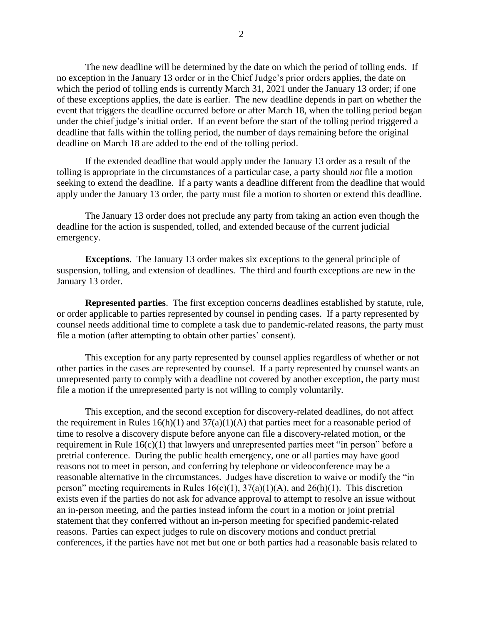The new deadline will be determined by the date on which the period of tolling ends. If no exception in the January 13 order or in the Chief Judge's prior orders applies, the date on which the period of tolling ends is currently March 31, 2021 under the January 13 order; if one of these exceptions applies, the date is earlier. The new deadline depends in part on whether the event that triggers the deadline occurred before or after March 18, when the tolling period began under the chief judge's initial order. If an event before the start of the tolling period triggered a deadline that falls within the tolling period, the number of days remaining before the original deadline on March 18 are added to the end of the tolling period.

If the extended deadline that would apply under the January 13 order as a result of the tolling is appropriate in the circumstances of a particular case, a party should *not* file a motion seeking to extend the deadline. If a party wants a deadline different from the deadline that would apply under the January 13 order, the party must file a motion to shorten or extend this deadline.

The January 13 order does not preclude any party from taking an action even though the deadline for the action is suspended, tolled, and extended because of the current judicial emergency.

**Exceptions**. The January 13 order makes six exceptions to the general principle of suspension, tolling, and extension of deadlines. The third and fourth exceptions are new in the January 13 order.

**Represented parties**. The first exception concerns deadlines established by statute, rule, or order applicable to parties represented by counsel in pending cases. If a party represented by counsel needs additional time to complete a task due to pandemic-related reasons, the party must file a motion (after attempting to obtain other parties' consent).

This exception for any party represented by counsel applies regardless of whether or not other parties in the cases are represented by counsel. If a party represented by counsel wants an unrepresented party to comply with a deadline not covered by another exception, the party must file a motion if the unrepresented party is not willing to comply voluntarily.

This exception, and the second exception for discovery-related deadlines, do not affect the requirement in Rules  $16(h)(1)$  and  $37(a)(1)(A)$  that parties meet for a reasonable period of time to resolve a discovery dispute before anyone can file a discovery-related motion, or the requirement in Rule 16(c)(1) that lawyers and unrepresented parties meet "in person" before a pretrial conference. During the public health emergency, one or all parties may have good reasons not to meet in person, and conferring by telephone or videoconference may be a reasonable alternative in the circumstances. Judges have discretion to waive or modify the "in person" meeting requirements in Rules  $16(c)(1)$ ,  $37(a)(1)(A)$ , and  $26(h)(1)$ . This discretion exists even if the parties do not ask for advance approval to attempt to resolve an issue without an in-person meeting, and the parties instead inform the court in a motion or joint pretrial statement that they conferred without an in-person meeting for specified pandemic-related reasons. Parties can expect judges to rule on discovery motions and conduct pretrial conferences, if the parties have not met but one or both parties had a reasonable basis related to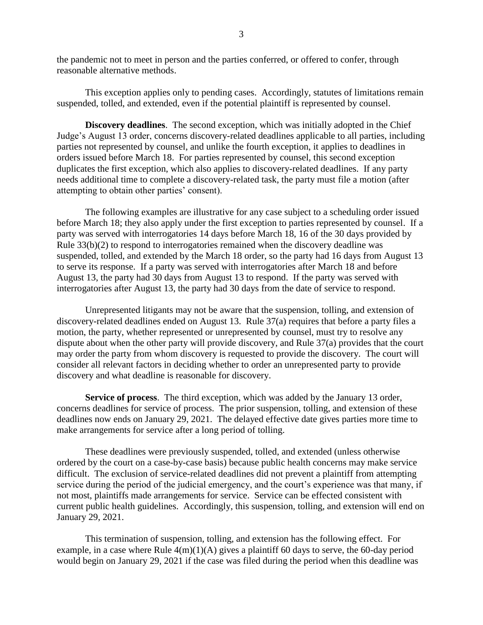the pandemic not to meet in person and the parties conferred, or offered to confer, through reasonable alternative methods.

This exception applies only to pending cases. Accordingly, statutes of limitations remain suspended, tolled, and extended, even if the potential plaintiff is represented by counsel.

**Discovery deadlines**. The second exception, which was initially adopted in the Chief Judge's August 13 order, concerns discovery-related deadlines applicable to all parties, including parties not represented by counsel, and unlike the fourth exception, it applies to deadlines in orders issued before March 18. For parties represented by counsel, this second exception duplicates the first exception, which also applies to discovery-related deadlines. If any party needs additional time to complete a discovery-related task, the party must file a motion (after attempting to obtain other parties' consent).

The following examples are illustrative for any case subject to a scheduling order issued before March 18; they also apply under the first exception to parties represented by counsel. If a party was served with interrogatories 14 days before March 18, 16 of the 30 days provided by Rule 33(b)(2) to respond to interrogatories remained when the discovery deadline was suspended, tolled, and extended by the March 18 order, so the party had 16 days from August 13 to serve its response. If a party was served with interrogatories after March 18 and before August 13, the party had 30 days from August 13 to respond. If the party was served with interrogatories after August 13, the party had 30 days from the date of service to respond.

Unrepresented litigants may not be aware that the suspension, tolling, and extension of discovery-related deadlines ended on August 13. Rule 37(a) requires that before a party files a motion, the party, whether represented or unrepresented by counsel, must try to resolve any dispute about when the other party will provide discovery, and Rule 37(a) provides that the court may order the party from whom discovery is requested to provide the discovery. The court will consider all relevant factors in deciding whether to order an unrepresented party to provide discovery and what deadline is reasonable for discovery.

**Service of process**. The third exception, which was added by the January 13 order, concerns deadlines for service of process. The prior suspension, tolling, and extension of these deadlines now ends on January 29, 2021. The delayed effective date gives parties more time to make arrangements for service after a long period of tolling.

These deadlines were previously suspended, tolled, and extended (unless otherwise ordered by the court on a case-by-case basis) because public health concerns may make service difficult. The exclusion of service-related deadlines did not prevent a plaintiff from attempting service during the period of the judicial emergency, and the court's experience was that many, if not most, plaintiffs made arrangements for service. Service can be effected consistent with current public health guidelines. Accordingly, this suspension, tolling, and extension will end on January 29, 2021.

This termination of suspension, tolling, and extension has the following effect. For example, in a case where Rule  $4(m)(1)(A)$  gives a plaintiff 60 days to serve, the 60-day period would begin on January 29, 2021 if the case was filed during the period when this deadline was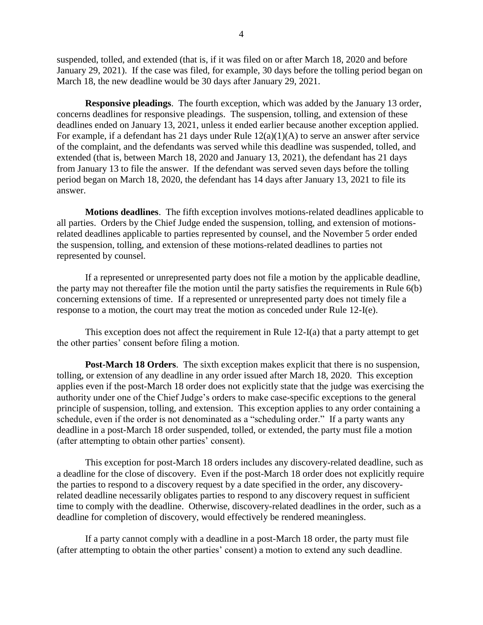suspended, tolled, and extended (that is, if it was filed on or after March 18, 2020 and before January 29, 2021). If the case was filed, for example, 30 days before the tolling period began on March 18, the new deadline would be 30 days after January 29, 2021.

**Responsive pleadings**. The fourth exception, which was added by the January 13 order, concerns deadlines for responsive pleadings. The suspension, tolling, and extension of these deadlines ended on January 13, 2021, unless it ended earlier because another exception applied. For example, if a defendant has 21 days under Rule 12(a)(1)(A) to serve an answer after service of the complaint, and the defendants was served while this deadline was suspended, tolled, and extended (that is, between March 18, 2020 and January 13, 2021), the defendant has 21 days from January 13 to file the answer. If the defendant was served seven days before the tolling period began on March 18, 2020, the defendant has 14 days after January 13, 2021 to file its answer.

**Motions deadlines**. The fifth exception involves motions-related deadlines applicable to all parties. Orders by the Chief Judge ended the suspension, tolling, and extension of motionsrelated deadlines applicable to parties represented by counsel, and the November 5 order ended the suspension, tolling, and extension of these motions-related deadlines to parties not represented by counsel.

If a represented or unrepresented party does not file a motion by the applicable deadline, the party may not thereafter file the motion until the party satisfies the requirements in Rule 6(b) concerning extensions of time. If a represented or unrepresented party does not timely file a response to a motion, the court may treat the motion as conceded under Rule 12-I(e).

This exception does not affect the requirement in Rule 12-I(a) that a party attempt to get the other parties' consent before filing a motion.

**Post-March 18 Orders**. The sixth exception makes explicit that there is no suspension, tolling, or extension of any deadline in any order issued after March 18, 2020. This exception applies even if the post-March 18 order does not explicitly state that the judge was exercising the authority under one of the Chief Judge's orders to make case-specific exceptions to the general principle of suspension, tolling, and extension. This exception applies to any order containing a schedule, even if the order is not denominated as a "scheduling order." If a party wants any deadline in a post-March 18 order suspended, tolled, or extended, the party must file a motion (after attempting to obtain other parties' consent).

This exception for post-March 18 orders includes any discovery-related deadline, such as a deadline for the close of discovery. Even if the post-March 18 order does not explicitly require the parties to respond to a discovery request by a date specified in the order, any discoveryrelated deadline necessarily obligates parties to respond to any discovery request in sufficient time to comply with the deadline. Otherwise, discovery-related deadlines in the order, such as a deadline for completion of discovery, would effectively be rendered meaningless.

If a party cannot comply with a deadline in a post-March 18 order, the party must file (after attempting to obtain the other parties' consent) a motion to extend any such deadline.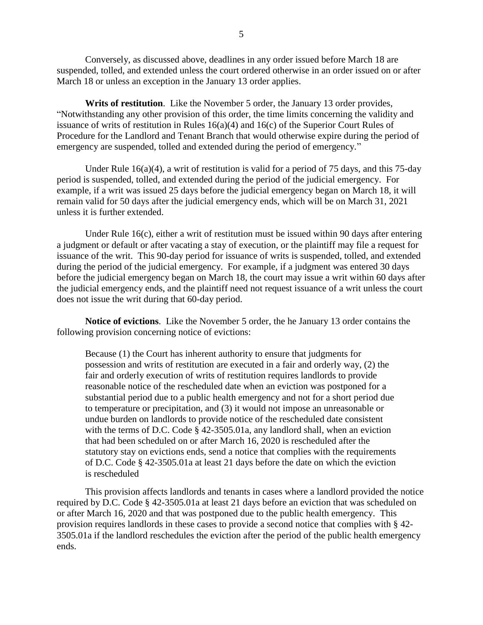Conversely, as discussed above, deadlines in any order issued before March 18 are suspended, tolled, and extended unless the court ordered otherwise in an order issued on or after March 18 or unless an exception in the January 13 order applies.

**Writs of restitution**. Like the November 5 order, the January 13 order provides, "Notwithstanding any other provision of this order, the time limits concerning the validity and issuance of writs of restitution in Rules 16(a)(4) and 16(c) of the Superior Court Rules of Procedure for the Landlord and Tenant Branch that would otherwise expire during the period of emergency are suspended, tolled and extended during the period of emergency."

Under Rule 16(a)(4), a writ of restitution is valid for a period of 75 days, and this 75-day period is suspended, tolled, and extended during the period of the judicial emergency. For example, if a writ was issued 25 days before the judicial emergency began on March 18, it will remain valid for 50 days after the judicial emergency ends, which will be on March 31, 2021 unless it is further extended.

Under Rule 16(c), either a writ of restitution must be issued within 90 days after entering a judgment or default or after vacating a stay of execution, or the plaintiff may file a request for issuance of the writ. This 90-day period for issuance of writs is suspended, tolled, and extended during the period of the judicial emergency. For example, if a judgment was entered 30 days before the judicial emergency began on March 18, the court may issue a writ within 60 days after the judicial emergency ends, and the plaintiff need not request issuance of a writ unless the court does not issue the writ during that 60-day period.

**Notice of evictions**. Like the November 5 order, the he January 13 order contains the following provision concerning notice of evictions:

Because (1) the Court has inherent authority to ensure that judgments for possession and writs of restitution are executed in a fair and orderly way, (2) the fair and orderly execution of writs of restitution requires landlords to provide reasonable notice of the rescheduled date when an eviction was postponed for a substantial period due to a public health emergency and not for a short period due to temperature or precipitation, and (3) it would not impose an unreasonable or undue burden on landlords to provide notice of the rescheduled date consistent with the terms of D.C. Code § 42-3505.01a, any landlord shall, when an eviction that had been scheduled on or after March 16, 2020 is rescheduled after the statutory stay on evictions ends, send a notice that complies with the requirements of D.C. Code § 42-3505.01a at least 21 days before the date on which the eviction is rescheduled

This provision affects landlords and tenants in cases where a landlord provided the notice required by D.C. Code § 42-3505.01a at least 21 days before an eviction that was scheduled on or after March 16, 2020 and that was postponed due to the public health emergency. This provision requires landlords in these cases to provide a second notice that complies with § 42- 3505.01a if the landlord reschedules the eviction after the period of the public health emergency ends.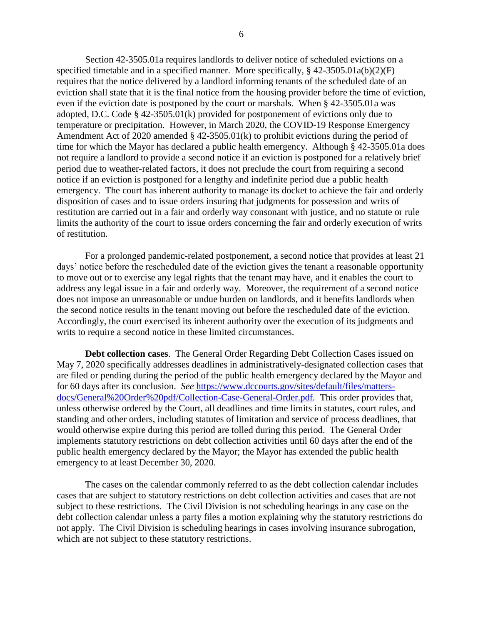Section 42-3505.01a requires landlords to deliver notice of scheduled evictions on a specified timetable and in a specified manner. More specifically,  $\S$  42-3505.01a(b)(2)(F) requires that the notice delivered by a landlord informing tenants of the scheduled date of an eviction shall state that it is the final notice from the housing provider before the time of eviction, even if the eviction date is postponed by the court or marshals. When § 42-3505.01a was adopted, D.C. Code § 42-3505.01(k) provided for postponement of evictions only due to temperature or precipitation. However, in March 2020, the COVID-19 Response Emergency Amendment Act of 2020 amended § 42-3505.01(k) to prohibit evictions during the period of time for which the Mayor has declared a public health emergency. Although § 42-3505.01a does not require a landlord to provide a second notice if an eviction is postponed for a relatively brief period due to weather-related factors, it does not preclude the court from requiring a second notice if an eviction is postponed for a lengthy and indefinite period due a public health emergency. The court has inherent authority to manage its docket to achieve the fair and orderly disposition of cases and to issue orders insuring that judgments for possession and writs of restitution are carried out in a fair and orderly way consonant with justice, and no statute or rule limits the authority of the court to issue orders concerning the fair and orderly execution of writs of restitution.

For a prolonged pandemic-related postponement, a second notice that provides at least 21 days' notice before the rescheduled date of the eviction gives the tenant a reasonable opportunity to move out or to exercise any legal rights that the tenant may have, and it enables the court to address any legal issue in a fair and orderly way. Moreover, the requirement of a second notice does not impose an unreasonable or undue burden on landlords, and it benefits landlords when the second notice results in the tenant moving out before the rescheduled date of the eviction. Accordingly, the court exercised its inherent authority over the execution of its judgments and writs to require a second notice in these limited circumstances.

**Debt collection cases**. The General Order Regarding Debt Collection Cases issued on May 7, 2020 specifically addresses deadlines in administratively-designated collection cases that are filed or pending during the period of the public health emergency declared by the Mayor and for 60 days after its conclusion. *See* [https://www.dccourts.gov/sites/default/files/matters](https://www.dccourts.gov/sites/default/files/matters-docs/General%20Order%20pdf/Collection-Case-General-Order.pdf)[docs/General%20Order%20pdf/Collection-Case-General-Order.pdf](https://www.dccourts.gov/sites/default/files/matters-docs/General%20Order%20pdf/Collection-Case-General-Order.pdf)*.* This order provides that, unless otherwise ordered by the Court, all deadlines and time limits in statutes, court rules, and standing and other orders, including statutes of limitation and service of process deadlines, that would otherwise expire during this period are tolled during this period. The General Order implements statutory restrictions on debt collection activities until 60 days after the end of the public health emergency declared by the Mayor; the Mayor has extended the public health emergency to at least December 30, 2020.

The cases on the calendar commonly referred to as the debt collection calendar includes cases that are subject to statutory restrictions on debt collection activities and cases that are not subject to these restrictions. The Civil Division is not scheduling hearings in any case on the debt collection calendar unless a party files a motion explaining why the statutory restrictions do not apply. The Civil Division is scheduling hearings in cases involving insurance subrogation, which are not subject to these statutory restrictions.